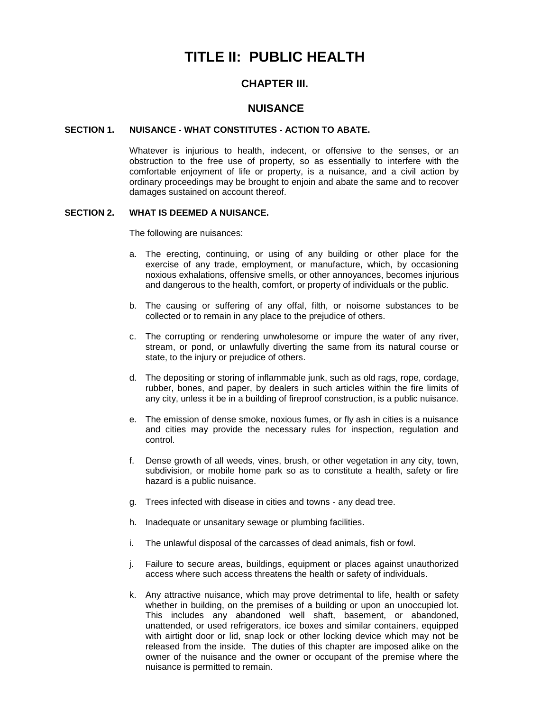# **TITLE II: PUBLIC HEALTH**

# **CHAPTER III.**

# **NUISANCE**

### **SECTION 1. NUISANCE - WHAT CONSTITUTES - ACTION TO ABATE.**

Whatever is injurious to health, indecent, or offensive to the senses, or an obstruction to the free use of property, so as essentially to interfere with the comfortable enjoyment of life or property, is a nuisance, and a civil action by ordinary proceedings may be brought to enjoin and abate the same and to recover damages sustained on account thereof.

# **SECTION 2. WHAT IS DEEMED A NUISANCE.**

The following are nuisances:

- a. The erecting, continuing, or using of any building or other place for the exercise of any trade, employment, or manufacture, which, by occasioning noxious exhalations, offensive smells, or other annoyances, becomes injurious and dangerous to the health, comfort, or property of individuals or the public.
- b. The causing or suffering of any offal, filth, or noisome substances to be collected or to remain in any place to the prejudice of others.
- c. The corrupting or rendering unwholesome or impure the water of any river, stream, or pond, or unlawfully diverting the same from its natural course or state, to the injury or prejudice of others.
- d. The depositing or storing of inflammable junk, such as old rags, rope, cordage, rubber, bones, and paper, by dealers in such articles within the fire limits of any city, unless it be in a building of fireproof construction, is a public nuisance.
- e. The emission of dense smoke, noxious fumes, or fly ash in cities is a nuisance and cities may provide the necessary rules for inspection, regulation and control.
- f. Dense growth of all weeds, vines, brush, or other vegetation in any city, town, subdivision, or mobile home park so as to constitute a health, safety or fire hazard is a public nuisance.
- g. Trees infected with disease in cities and towns any dead tree.
- h. Inadequate or unsanitary sewage or plumbing facilities.
- i. The unlawful disposal of the carcasses of dead animals, fish or fowl.
- j. Failure to secure areas, buildings, equipment or places against unauthorized access where such access threatens the health or safety of individuals.
- k. Any attractive nuisance, which may prove detrimental to life, health or safety whether in building, on the premises of a building or upon an unoccupied lot. This includes any abandoned well shaft, basement, or abandoned, unattended, or used refrigerators, ice boxes and similar containers, equipped with airtight door or lid, snap lock or other locking device which may not be released from the inside. The duties of this chapter are imposed alike on the owner of the nuisance and the owner or occupant of the premise where the nuisance is permitted to remain.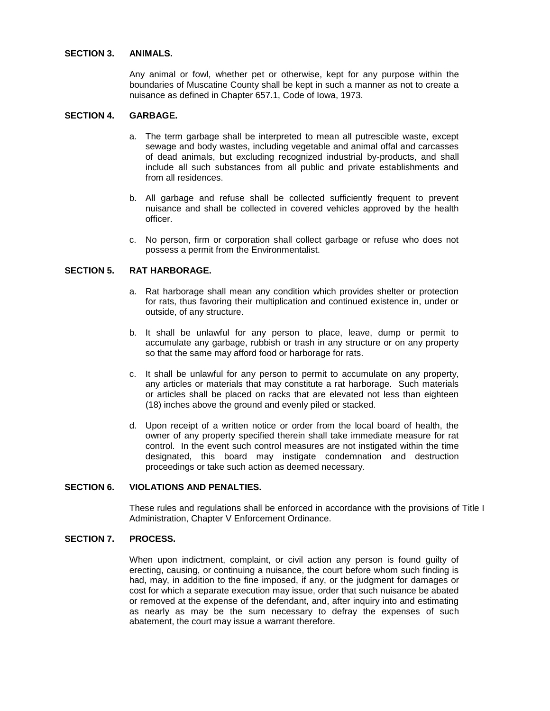#### **SECTION 3. ANIMALS.**

Any animal or fowl, whether pet or otherwise, kept for any purpose within the boundaries of Muscatine County shall be kept in such a manner as not to create a nuisance as defined in Chapter 657.1, Code of Iowa, 1973.

# **SECTION 4. GARBAGE.**

- a. The term garbage shall be interpreted to mean all putrescible waste, except sewage and body wastes, including vegetable and animal offal and carcasses of dead animals, but excluding recognized industrial by-products, and shall include all such substances from all public and private establishments and from all residences.
- b. All garbage and refuse shall be collected sufficiently frequent to prevent nuisance and shall be collected in covered vehicles approved by the health officer.
- c. No person, firm or corporation shall collect garbage or refuse who does not possess a permit from the Environmentalist.

#### **SECTION 5. RAT HARBORAGE.**

- a. Rat harborage shall mean any condition which provides shelter or protection for rats, thus favoring their multiplication and continued existence in, under or outside, of any structure.
- b. It shall be unlawful for any person to place, leave, dump or permit to accumulate any garbage, rubbish or trash in any structure or on any property so that the same may afford food or harborage for rats.
- c. It shall be unlawful for any person to permit to accumulate on any property, any articles or materials that may constitute a rat harborage. Such materials or articles shall be placed on racks that are elevated not less than eighteen (18) inches above the ground and evenly piled or stacked.
- d. Upon receipt of a written notice or order from the local board of health, the owner of any property specified therein shall take immediate measure for rat control. In the event such control measures are not instigated within the time designated, this board may instigate condemnation and destruction proceedings or take such action as deemed necessary.

# **SECTION 6. VIOLATIONS AND PENALTIES.**

These rules and regulations shall be enforced in accordance with the provisions of Title I Administration, Chapter V Enforcement Ordinance.

# **SECTION 7. PROCESS.**

When upon indictment, complaint, or civil action any person is found guilty of erecting, causing, or continuing a nuisance, the court before whom such finding is had, may, in addition to the fine imposed, if any, or the judgment for damages or cost for which a separate execution may issue, order that such nuisance be abated or removed at the expense of the defendant, and, after inquiry into and estimating as nearly as may be the sum necessary to defray the expenses of such abatement, the court may issue a warrant therefore.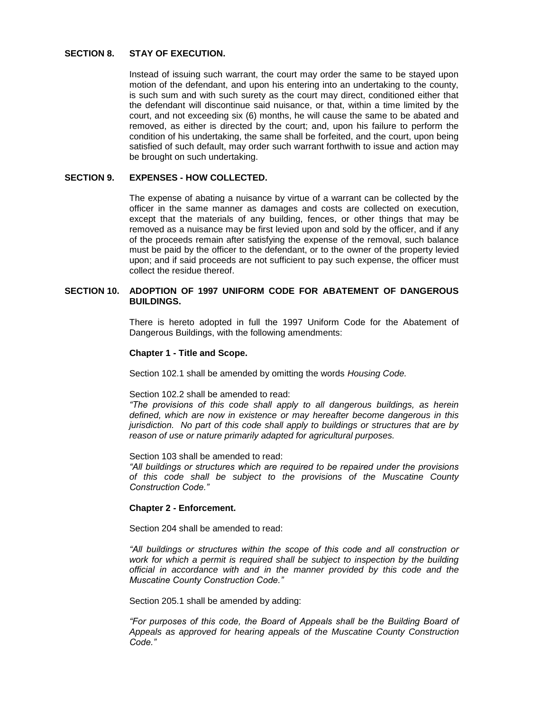#### **SECTION 8. STAY OF EXECUTION.**

Instead of issuing such warrant, the court may order the same to be stayed upon motion of the defendant, and upon his entering into an undertaking to the county, is such sum and with such surety as the court may direct, conditioned either that the defendant will discontinue said nuisance, or that, within a time limited by the court, and not exceeding six (6) months, he will cause the same to be abated and removed, as either is directed by the court; and, upon his failure to perform the condition of his undertaking, the same shall be forfeited, and the court, upon being satisfied of such default, may order such warrant forthwith to issue and action may be brought on such undertaking.

# **SECTION 9. EXPENSES - HOW COLLECTED.**

The expense of abating a nuisance by virtue of a warrant can be collected by the officer in the same manner as damages and costs are collected on execution, except that the materials of any building, fences, or other things that may be removed as a nuisance may be first levied upon and sold by the officer, and if any of the proceeds remain after satisfying the expense of the removal, such balance must be paid by the officer to the defendant, or to the owner of the property levied upon; and if said proceeds are not sufficient to pay such expense, the officer must collect the residue thereof.

# **SECTION 10. ADOPTION OF 1997 UNIFORM CODE FOR ABATEMENT OF DANGEROUS BUILDINGS.**

There is hereto adopted in full the 1997 Uniform Code for the Abatement of Dangerous Buildings, with the following amendments:

### **Chapter 1 - Title and Scope.**

Section 102.1 shall be amended by omitting the words *Housing Code.*

#### Section 102.2 shall be amended to read:

*"The provisions of this code shall apply to all dangerous buildings, as herein defined, which are now in existence or may hereafter become dangerous in this jurisdiction. No part of this code shall apply to buildings or structures that are by reason of use or nature primarily adapted for agricultural purposes.*

Section 103 shall be amended to read:

*"All buildings or structures which are required to be repaired under the provisions of this code shall be subject to the provisions of the Muscatine County Construction Code."*

#### **Chapter 2 - Enforcement.**

Section 204 shall be amended to read:

*"All buildings or structures within the scope of this code and all construction or*  work for which a permit is required shall be subject to inspection by the building *official in accordance with and in the manner provided by this code and the Muscatine County Construction Code."*

Section 205.1 shall be amended by adding:

*"For purposes of this code, the Board of Appeals shall be the Building Board of Appeals as approved for hearing appeals of the Muscatine County Construction Code."*